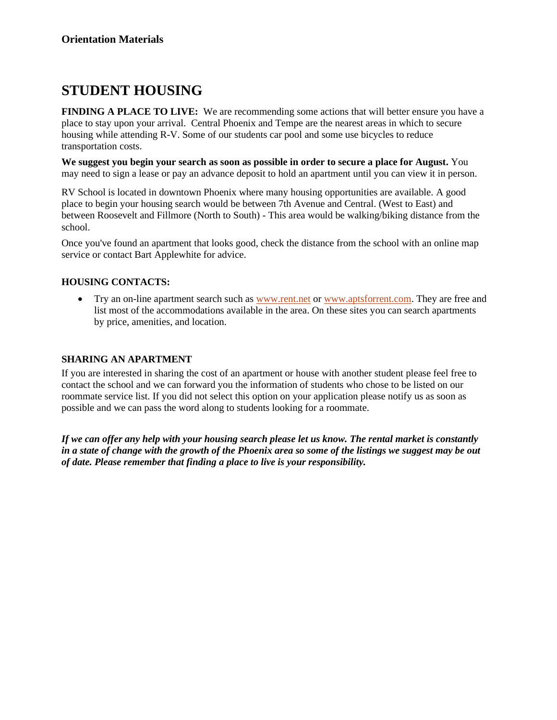## **STUDENT HOUSING**

**FINDING A PLACE TO LIVE:** We are recommending some actions that will better ensure you have a place to stay upon your arrival. Central Phoenix and Tempe are the nearest areas in which to secure housing while attending R-V. Some of our students car pool and some use bicycles to reduce transportation costs.

**We suggest you begin your search as soon as possible in order to secure a place for August.** You may need to sign a lease or pay an advance deposit to hold an apartment until you can view it in person.

RV School is located in downtown Phoenix where many housing opportunities are available. A good place to begin your housing search would be between 7th Avenue and Central. (West to East) and between Roosevelt and Fillmore (North to South) - This area would be walking/biking distance from the school.

Once you've found an apartment that looks good, check the distance from the school with an online map service or contact Bart Applewhite for advice.

## **HOUSING CONTACTS:**

• Try an on-line apartment search such as [www.rent.net](http://www.rent.net/) or [www.aptsforrent.com.](http://www.aptsforrent.com/) They are free and list most of the accommodations available in the area. On these sites you can search apartments by price, amenities, and location.

## **SHARING AN APARTMENT**

If you are interested in sharing the cost of an apartment or house with another student please feel free to contact the school and we can forward you the information of students who chose to be listed on our roommate service list. If you did not select this option on your application please notify us as soon as possible and we can pass the word along to students looking for a roommate.

*If we can offer any help with your housing search please let us know. The rental market is constantly in a state of change with the growth of the Phoenix area so some of the listings we suggest may be out of date. Please remember that finding a place to live is your responsibility.*